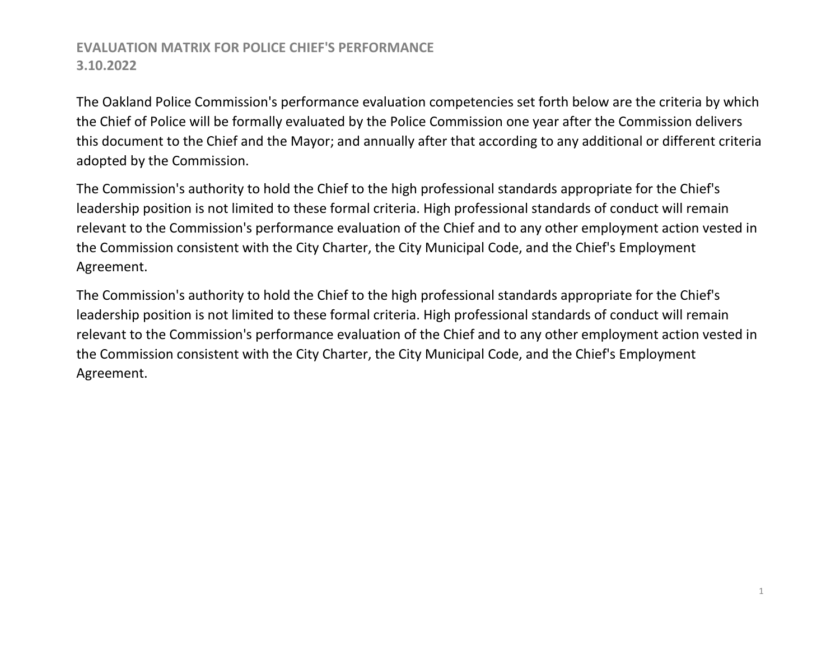The Oakland Police Commission's performance evaluation competencies set forth below are the criteria by which the Chief of Police will be formally evaluated by the Police Commission one year after the Commission delivers this document to the Chief and the Mayor; and annually after that according to any additional or different criteria adopted by the Commission.

The Commission's authority to hold the Chief to the high professional standards appropriate for the Chief's leadership position is not limited to these formal criteria. High professional standards of conduct will remain relevant to the Commission's performance evaluation of the Chief and to any other employment action vested in the Commission consistent with the City Charter, the City Municipal Code, and the Chief's Employment Agreement.

The Commission's authority to hold the Chief to the high professional standards appropriate for the Chief's leadership position is not limited to these formal criteria. High professional standards of conduct will remain relevant to the Commission's performance evaluation of the Chief and to any other employment action vested in the Commission consistent with the City Charter, the City Municipal Code, and the Chief's Employment Agreement.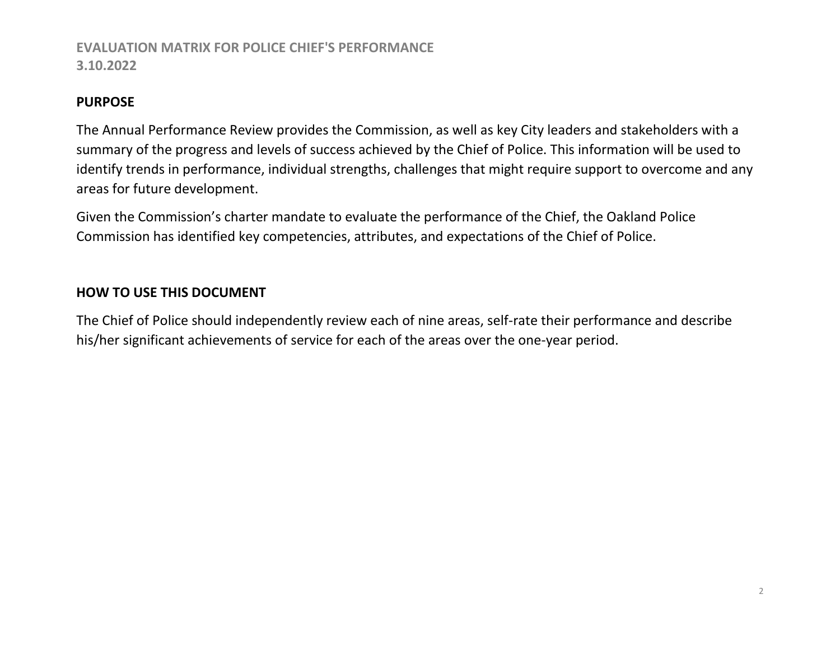#### **PURPOSE**

The Annual Performance Review provides the Commission, as well as key City leaders and stakeholders with a summary of the progress and levels of success achieved by the Chief of Police. This information will be used to identify trends in performance, individual strengths, challenges that might require support to overcome and any areas for future development.

Given the Commission's charter mandate to evaluate the performance of the Chief, the Oakland Police Commission has identified key competencies, attributes, and expectations of the Chief of Police.

### **HOW TO USE THIS DOCUMENT**

The Chief of Police should independently review each of nine areas, self-rate their performance and describe his/her significant achievements of service for each of the areas over the one-year period.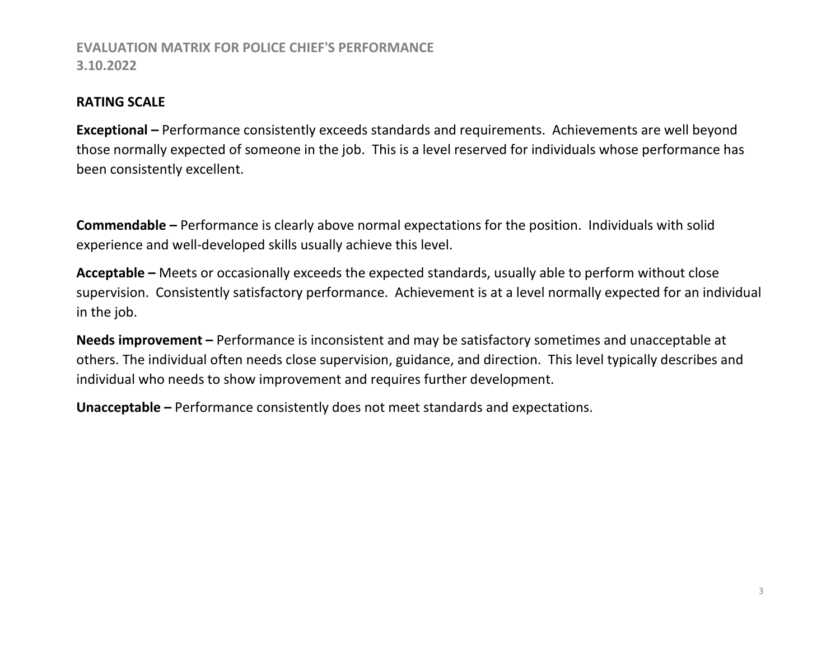#### **RATING SCALE**

**Exceptional –** Performance consistently exceeds standards and requirements. Achievements are well beyond those normally expected of someone in the job. This is a level reserved for individuals whose performance has been consistently excellent.

**Commendable –** Performance is clearly above normal expectations for the position. Individuals with solid experience and well-developed skills usually achieve this level.

**Acceptable –** Meets or occasionally exceeds the expected standards, usually able to perform without close supervision. Consistently satisfactory performance. Achievement is at a level normally expected for an individual in the job.

**Needs improvement –** Performance is inconsistent and may be satisfactory sometimes and unacceptable at others. The individual often needs close supervision, guidance, and direction. This level typically describes and individual who needs to show improvement and requires further development.

**Unacceptable –** Performance consistently does not meet standards and expectations.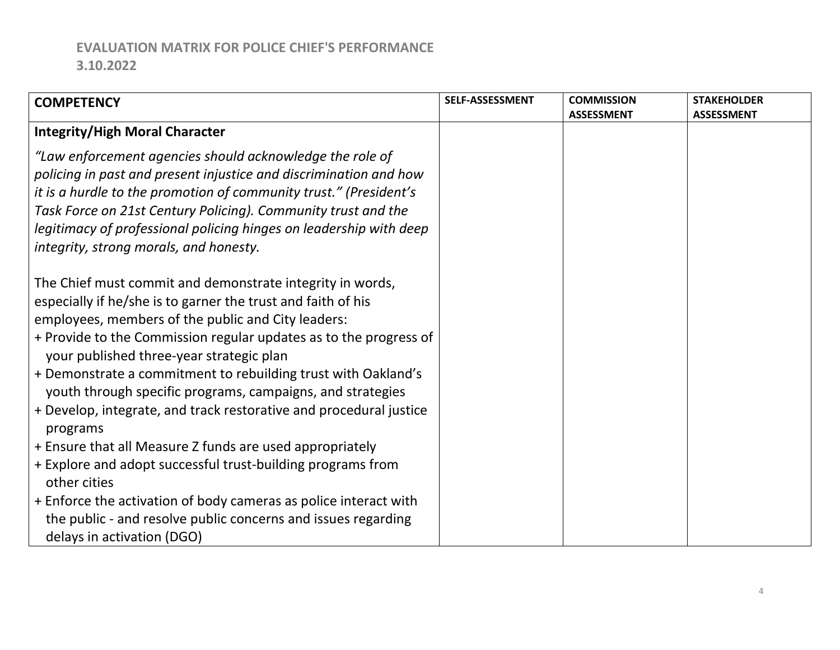| <b>COMPETENCY</b>                                                                                                                                                                                                                                                                                                                                                                                                                                                                                                                                                                                                                                                                                                                                                                                                               | SELF-ASSESSMENT | <b>COMMISSION</b> | <b>STAKEHOLDER</b> |
|---------------------------------------------------------------------------------------------------------------------------------------------------------------------------------------------------------------------------------------------------------------------------------------------------------------------------------------------------------------------------------------------------------------------------------------------------------------------------------------------------------------------------------------------------------------------------------------------------------------------------------------------------------------------------------------------------------------------------------------------------------------------------------------------------------------------------------|-----------------|-------------------|--------------------|
| <b>Integrity/High Moral Character</b>                                                                                                                                                                                                                                                                                                                                                                                                                                                                                                                                                                                                                                                                                                                                                                                           |                 | <b>ASSESSMENT</b> | <b>ASSESSMENT</b>  |
| "Law enforcement agencies should acknowledge the role of<br>policing in past and present injustice and discrimination and how<br>it is a hurdle to the promotion of community trust." (President's<br>Task Force on 21st Century Policing). Community trust and the<br>legitimacy of professional policing hinges on leadership with deep<br>integrity, strong morals, and honesty.                                                                                                                                                                                                                                                                                                                                                                                                                                             |                 |                   |                    |
| The Chief must commit and demonstrate integrity in words,<br>especially if he/she is to garner the trust and faith of his<br>employees, members of the public and City leaders:<br>+ Provide to the Commission regular updates as to the progress of<br>your published three-year strategic plan<br>+ Demonstrate a commitment to rebuilding trust with Oakland's<br>youth through specific programs, campaigns, and strategies<br>+ Develop, integrate, and track restorative and procedural justice<br>programs<br>+ Ensure that all Measure Z funds are used appropriately<br>+ Explore and adopt successful trust-building programs from<br>other cities<br>+ Enforce the activation of body cameras as police interact with<br>the public - and resolve public concerns and issues regarding<br>delays in activation (DGO) |                 |                   |                    |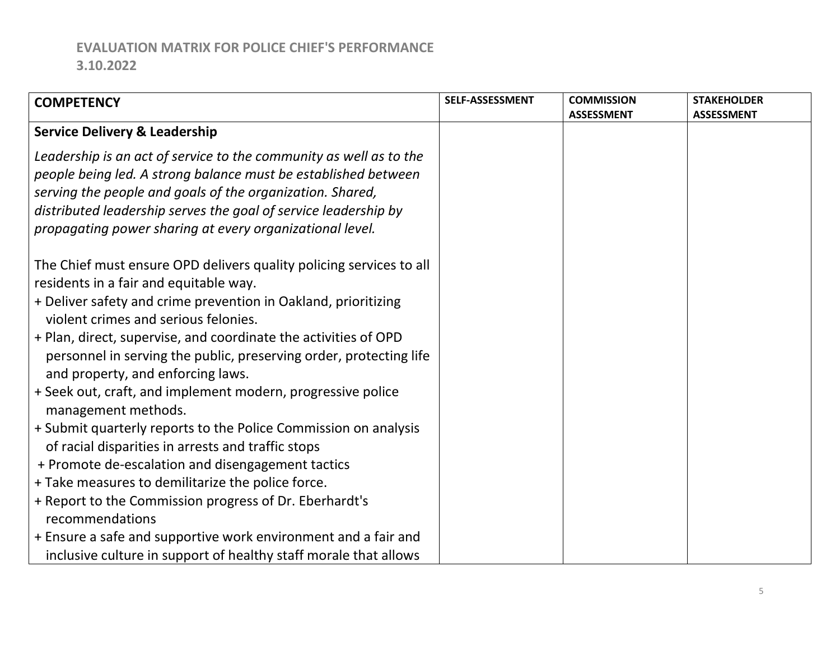| <b>COMPETENCY</b>                                                   | SELF-ASSESSMENT | <b>COMMISSION</b> | <b>STAKEHOLDER</b> |
|---------------------------------------------------------------------|-----------------|-------------------|--------------------|
|                                                                     |                 | <b>ASSESSMENT</b> | <b>ASSESSMENT</b>  |
| <b>Service Delivery &amp; Leadership</b>                            |                 |                   |                    |
| Leadership is an act of service to the community as well as to the  |                 |                   |                    |
| people being led. A strong balance must be established between      |                 |                   |                    |
| serving the people and goals of the organization. Shared,           |                 |                   |                    |
| distributed leadership serves the goal of service leadership by     |                 |                   |                    |
| propagating power sharing at every organizational level.            |                 |                   |                    |
|                                                                     |                 |                   |                    |
| The Chief must ensure OPD delivers quality policing services to all |                 |                   |                    |
| residents in a fair and equitable way.                              |                 |                   |                    |
| + Deliver safety and crime prevention in Oakland, prioritizing      |                 |                   |                    |
| violent crimes and serious felonies.                                |                 |                   |                    |
| + Plan, direct, supervise, and coordinate the activities of OPD     |                 |                   |                    |
| personnel in serving the public, preserving order, protecting life  |                 |                   |                    |
| and property, and enforcing laws.                                   |                 |                   |                    |
| + Seek out, craft, and implement modern, progressive police         |                 |                   |                    |
| management methods.                                                 |                 |                   |                    |
| + Submit quarterly reports to the Police Commission on analysis     |                 |                   |                    |
| of racial disparities in arrests and traffic stops                  |                 |                   |                    |
| + Promote de-escalation and disengagement tactics                   |                 |                   |                    |
| + Take measures to demilitarize the police force.                   |                 |                   |                    |
| + Report to the Commission progress of Dr. Eberhardt's              |                 |                   |                    |
| recommendations                                                     |                 |                   |                    |
| + Ensure a safe and supportive work environment and a fair and      |                 |                   |                    |
| inclusive culture in support of healthy staff morale that allows    |                 |                   |                    |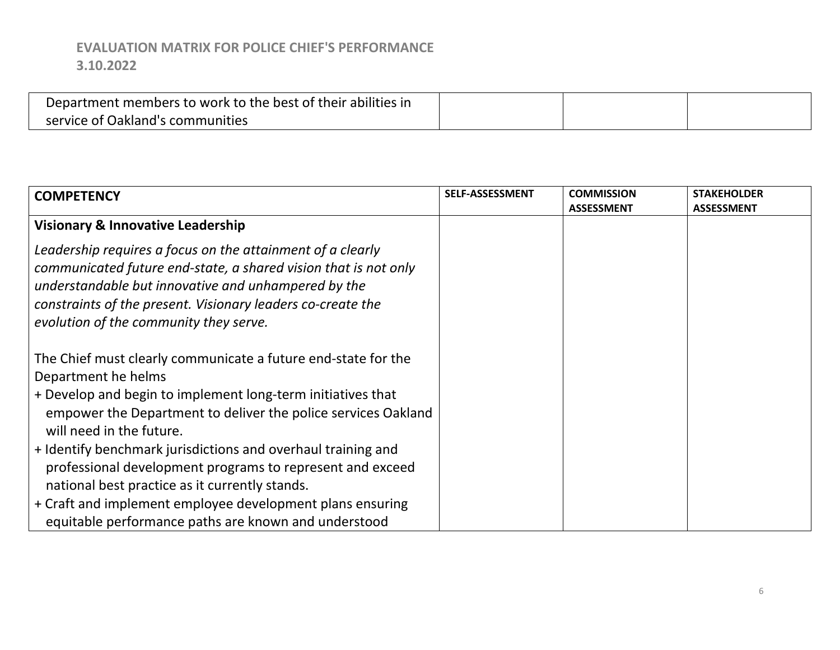| Department members to work to the best of their abilities in |  |  |
|--------------------------------------------------------------|--|--|
| service of Oakland's communities                             |  |  |

| <b>COMPETENCY</b>                                                                                                                                                                                                                                                                                                                                                                                                               | SELF-ASSESSMENT | <b>COMMISSION</b><br><b>ASSESSMENT</b> | <b>STAKEHOLDER</b><br><b>ASSESSMENT</b> |
|---------------------------------------------------------------------------------------------------------------------------------------------------------------------------------------------------------------------------------------------------------------------------------------------------------------------------------------------------------------------------------------------------------------------------------|-----------------|----------------------------------------|-----------------------------------------|
| <b>Visionary &amp; Innovative Leadership</b>                                                                                                                                                                                                                                                                                                                                                                                    |                 |                                        |                                         |
| Leadership requires a focus on the attainment of a clearly<br>communicated future end-state, a shared vision that is not only<br>understandable but innovative and unhampered by the<br>constraints of the present. Visionary leaders co-create the<br>evolution of the community they serve.                                                                                                                                   |                 |                                        |                                         |
| The Chief must clearly communicate a future end-state for the<br>Department he helms<br>+ Develop and begin to implement long-term initiatives that<br>empower the Department to deliver the police services Oakland<br>will need in the future.<br>+ Identify benchmark jurisdictions and overhaul training and<br>professional development programs to represent and exceed<br>national best practice as it currently stands. |                 |                                        |                                         |
| + Craft and implement employee development plans ensuring<br>equitable performance paths are known and understood                                                                                                                                                                                                                                                                                                               |                 |                                        |                                         |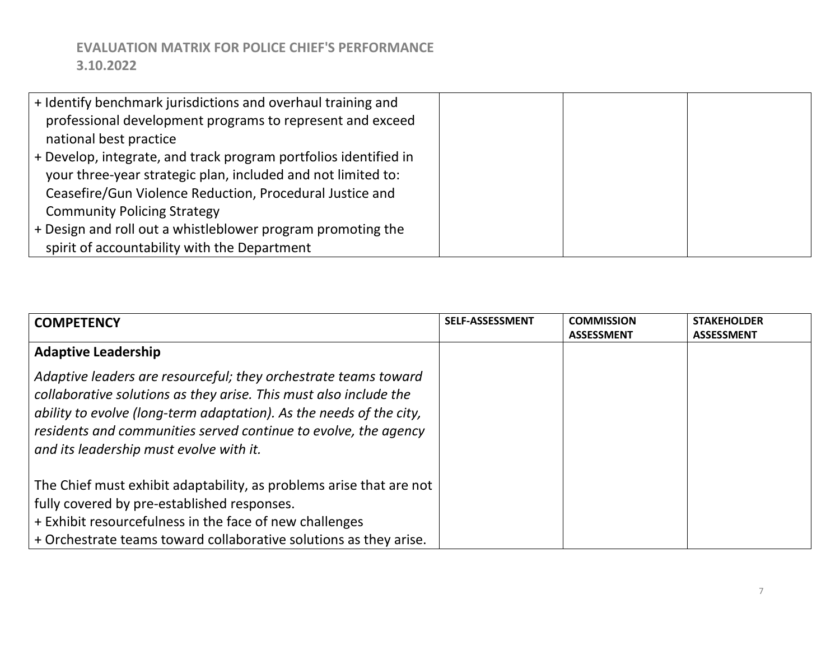| + Identify benchmark jurisdictions and overhaul training and     |  |
|------------------------------------------------------------------|--|
| professional development programs to represent and exceed        |  |
| national best practice                                           |  |
| + Develop, integrate, and track program portfolios identified in |  |
| your three-year strategic plan, included and not limited to:     |  |
| Ceasefire/Gun Violence Reduction, Procedural Justice and         |  |
| <b>Community Policing Strategy</b>                               |  |
| $+$ Design and roll out a whistleblower program promoting the    |  |
| spirit of accountability with the Department                     |  |

| <b>COMPETENCY</b>                                                          | <b>SELF-ASSESSMENT</b> | <b>COMMISSION</b> | <b>STAKEHOLDER</b> |
|----------------------------------------------------------------------------|------------------------|-------------------|--------------------|
|                                                                            |                        | <b>ASSESSMENT</b> | <b>ASSESSMENT</b>  |
| <b>Adaptive Leadership</b>                                                 |                        |                   |                    |
| $\mid$ Adaptive leaders are resourceful; they orchestrate teams toward     |                        |                   |                    |
| $\vert$ collaborative solutions as they arise. This must also include the  |                        |                   |                    |
| $\mid$ ability to evolve (long-term adaptation). As the needs of the city, |                        |                   |                    |
| residents and communities served continue to evolve, the agency            |                        |                   |                    |
| and its leadership must evolve with it.                                    |                        |                   |                    |
|                                                                            |                        |                   |                    |
| The Chief must exhibit adaptability, as problems arise that are not        |                        |                   |                    |
| fully covered by pre-established responses.                                |                        |                   |                    |
| + Exhibit resourcefulness in the face of new challenges                    |                        |                   |                    |
| $+$ Orchestrate teams toward collaborative solutions as they arise.        |                        |                   |                    |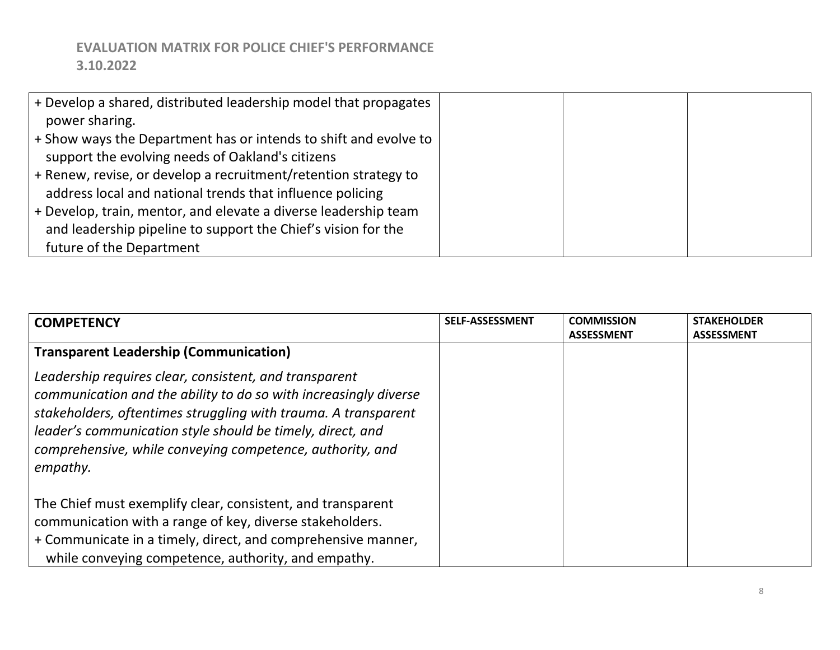| + Develop a shared, distributed leadership model that propagates |  |  |
|------------------------------------------------------------------|--|--|
| power sharing.                                                   |  |  |
| + Show ways the Department has or intends to shift and evolve to |  |  |
| support the evolving needs of Oakland's citizens                 |  |  |
| + Renew, revise, or develop a recruitment/retention strategy to  |  |  |
| address local and national trends that influence policing        |  |  |
| + Develop, train, mentor, and elevate a diverse leadership team  |  |  |
| and leadership pipeline to support the Chief's vision for the    |  |  |
| future of the Department                                         |  |  |

| <b>COMPETENCY</b>                                                | <b>SELF-ASSESSMENT</b> | <b>COMMISSION</b> | <b>STAKEHOLDER</b> |
|------------------------------------------------------------------|------------------------|-------------------|--------------------|
|                                                                  |                        | <b>ASSESSMENT</b> | <b>ASSESSMENT</b>  |
| <b>Transparent Leadership (Communication)</b>                    |                        |                   |                    |
| Leadership requires clear, consistent, and transparent           |                        |                   |                    |
| communication and the ability to do so with increasingly diverse |                        |                   |                    |
| stakeholders, oftentimes struggling with trauma. A transparent   |                        |                   |                    |
| leader's communication style should be timely, direct, and       |                        |                   |                    |
| comprehensive, while conveying competence, authority, and        |                        |                   |                    |
| empathy.                                                         |                        |                   |                    |
|                                                                  |                        |                   |                    |
| The Chief must exemplify clear, consistent, and transparent      |                        |                   |                    |
| communication with a range of key, diverse stakeholders.         |                        |                   |                    |
| + Communicate in a timely, direct, and comprehensive manner,     |                        |                   |                    |
| while conveying competence, authority, and empathy.              |                        |                   |                    |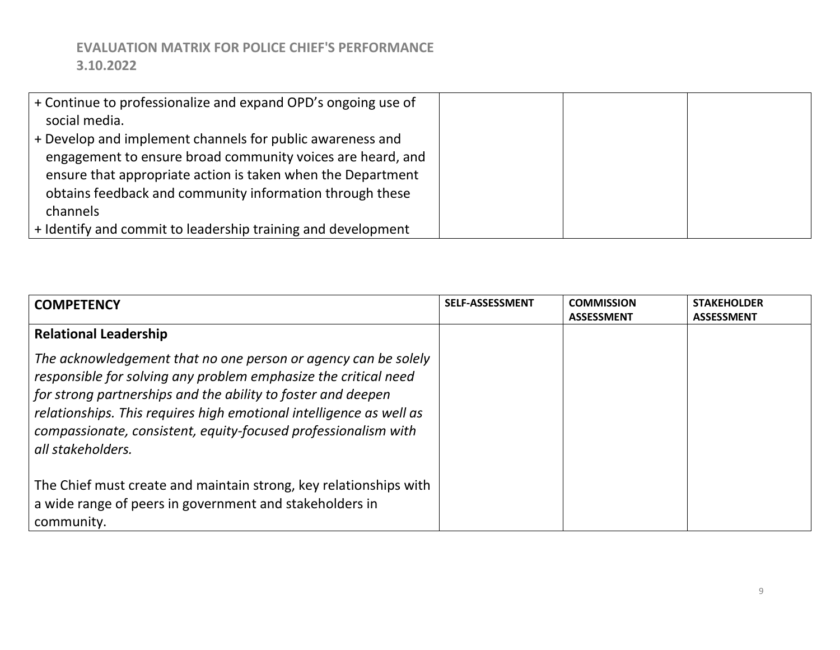| $+$ Continue to professionalize and expand OPD's ongoing use of |  |  |
|-----------------------------------------------------------------|--|--|
| social media.                                                   |  |  |
| $+$ Develop and implement channels for public awareness and     |  |  |
| engagement to ensure broad community voices are heard, and      |  |  |
| ensure that appropriate action is taken when the Department     |  |  |
| obtains feedback and community information through these        |  |  |
| channels                                                        |  |  |
| $+$ Identify and commit to leadership training and development  |  |  |

| <b>COMPETENCY</b>                                                       | <b>SELF-ASSESSMENT</b> | <b>COMMISSION</b> | <b>STAKEHOLDER</b> |
|-------------------------------------------------------------------------|------------------------|-------------------|--------------------|
|                                                                         |                        | <b>ASSESSMENT</b> | <b>ASSESSMENT</b>  |
| <b>Relational Leadership</b>                                            |                        |                   |                    |
| The acknowledgement that no one person or agency can be solely          |                        |                   |                    |
| $\vert$ responsible for solving any problem emphasize the critical need |                        |                   |                    |
| $\vert$ for strong partnerships and the ability to foster and deepen    |                        |                   |                    |
| relationships. This requires high emotional intelligence as well as     |                        |                   |                    |
| compassionate, consistent, equity-focused professionalism with          |                        |                   |                    |
| all stakeholders.                                                       |                        |                   |                    |
|                                                                         |                        |                   |                    |
| The Chief must create and maintain strong, key relationships with       |                        |                   |                    |
| a wide range of peers in government and stakeholders in                 |                        |                   |                    |
| community.                                                              |                        |                   |                    |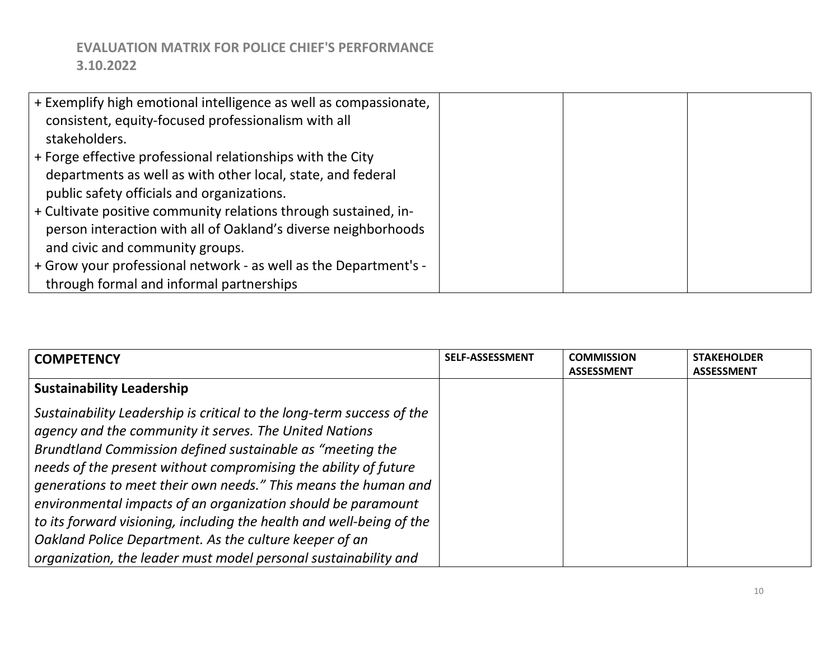| + Exemplify high emotional intelligence as well as compassionate, |  |  |
|-------------------------------------------------------------------|--|--|
| consistent, equity-focused professionalism with all               |  |  |
| stakeholders.                                                     |  |  |
| + Forge effective professional relationships with the City        |  |  |
| departments as well as with other local, state, and federal       |  |  |
| public safety officials and organizations.                        |  |  |
| + Cultivate positive community relations through sustained, in-   |  |  |
| person interaction with all of Oakland's diverse neighborhoods    |  |  |
| and civic and community groups.                                   |  |  |
| + Grow your professional network - as well as the Department's -  |  |  |
| through formal and informal partnerships                          |  |  |

| <b>COMPETENCY</b>                                                     | <b>SELF-ASSESSMENT</b> | <b>COMMISSION</b> | <b>STAKEHOLDER</b> |
|-----------------------------------------------------------------------|------------------------|-------------------|--------------------|
|                                                                       |                        | <b>ASSESSMENT</b> | <b>ASSESSMENT</b>  |
| <b>Sustainability Leadership</b>                                      |                        |                   |                    |
| Sustainability Leadership is critical to the long-term success of the |                        |                   |                    |
| agency and the community it serves. The United Nations                |                        |                   |                    |
| Brundtland Commission defined sustainable as "meeting the             |                        |                   |                    |
| needs of the present without compromising the ability of future       |                        |                   |                    |
| generations to meet their own needs." This means the human and        |                        |                   |                    |
| environmental impacts of an organization should be paramount          |                        |                   |                    |
| to its forward visioning, including the health and well-being of the  |                        |                   |                    |
| Oakland Police Department. As the culture keeper of an                |                        |                   |                    |
| organization, the leader must model personal sustainability and       |                        |                   |                    |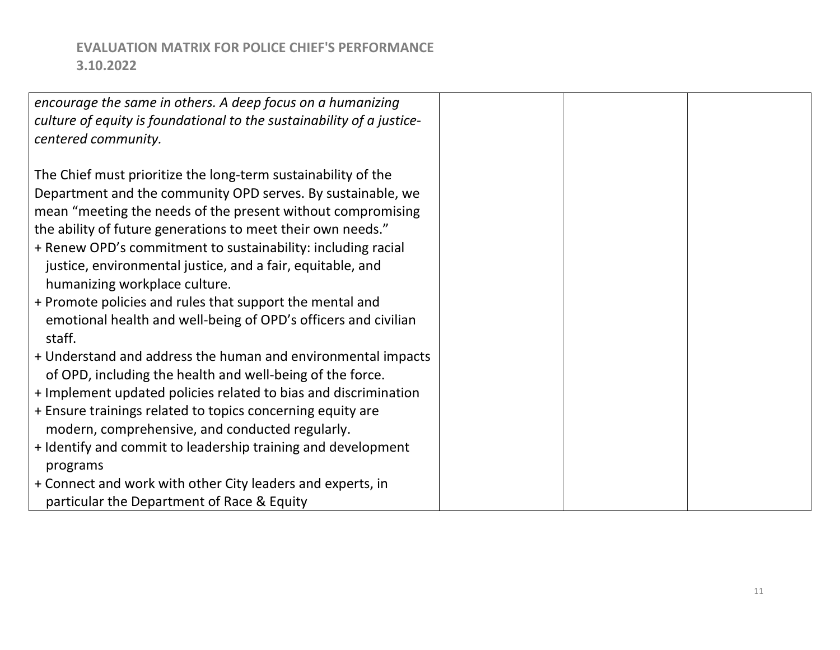| encourage the same in others. A deep focus on a humanizing            |  |  |
|-----------------------------------------------------------------------|--|--|
| culture of equity is foundational to the sustainability of a justice- |  |  |
| centered community.                                                   |  |  |
|                                                                       |  |  |
| The Chief must prioritize the long-term sustainability of the         |  |  |
| Department and the community OPD serves. By sustainable, we           |  |  |
| mean "meeting the needs of the present without compromising           |  |  |
| the ability of future generations to meet their own needs."           |  |  |
| + Renew OPD's commitment to sustainability: including racial          |  |  |
| justice, environmental justice, and a fair, equitable, and            |  |  |
| humanizing workplace culture.                                         |  |  |
| + Promote policies and rules that support the mental and              |  |  |
| emotional health and well-being of OPD's officers and civilian        |  |  |
| staff.                                                                |  |  |
| + Understand and address the human and environmental impacts          |  |  |
| of OPD, including the health and well-being of the force.             |  |  |
| + Implement updated policies related to bias and discrimination       |  |  |
| + Ensure trainings related to topics concerning equity are            |  |  |
| modern, comprehensive, and conducted regularly.                       |  |  |
| + Identify and commit to leadership training and development          |  |  |
| programs                                                              |  |  |
| + Connect and work with other City leaders and experts, in            |  |  |
| particular the Department of Race & Equity                            |  |  |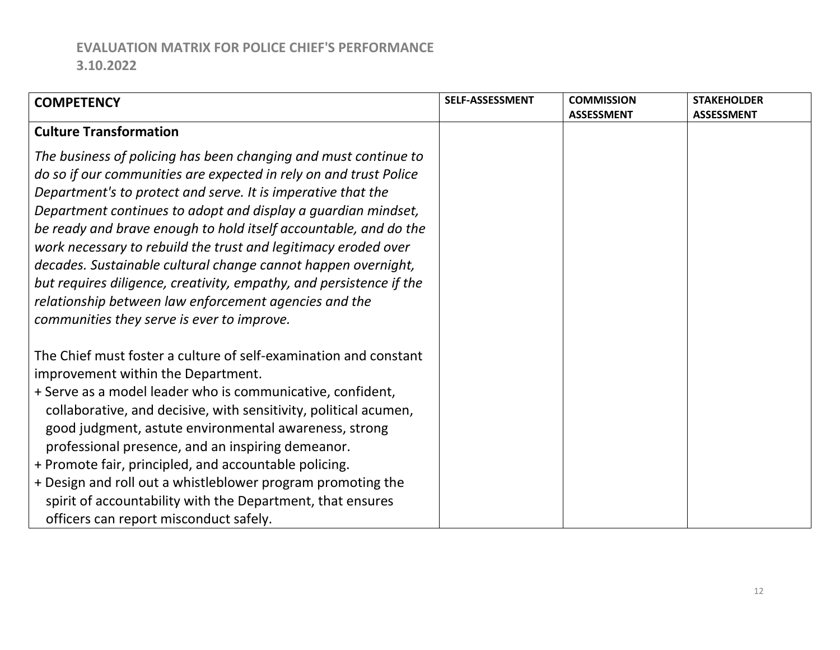| <b>COMPETENCY</b>                                                                                                                                                                                                                                                                                                                                                                                                                                                                                                                                                                                                                                          | <b>SELF-ASSESSMENT</b> | <b>COMMISSION</b> | <b>STAKEHOLDER</b> |
|------------------------------------------------------------------------------------------------------------------------------------------------------------------------------------------------------------------------------------------------------------------------------------------------------------------------------------------------------------------------------------------------------------------------------------------------------------------------------------------------------------------------------------------------------------------------------------------------------------------------------------------------------------|------------------------|-------------------|--------------------|
|                                                                                                                                                                                                                                                                                                                                                                                                                                                                                                                                                                                                                                                            |                        | <b>ASSESSMENT</b> | <b>ASSESSMENT</b>  |
| <b>Culture Transformation</b>                                                                                                                                                                                                                                                                                                                                                                                                                                                                                                                                                                                                                              |                        |                   |                    |
| The business of policing has been changing and must continue to<br>do so if our communities are expected in rely on and trust Police<br>Department's to protect and serve. It is imperative that the<br>Department continues to adopt and display a guardian mindset,<br>be ready and brave enough to hold itself accountable, and do the<br>work necessary to rebuild the trust and legitimacy eroded over<br>decades. Sustainable cultural change cannot happen overnight,<br>but requires diligence, creativity, empathy, and persistence if the<br>relationship between law enforcement agencies and the<br>communities they serve is ever to improve. |                        |                   |                    |
| The Chief must foster a culture of self-examination and constant<br>improvement within the Department.<br>+ Serve as a model leader who is communicative, confident,<br>collaborative, and decisive, with sensitivity, political acumen,<br>good judgment, astute environmental awareness, strong<br>professional presence, and an inspiring demeanor.<br>+ Promote fair, principled, and accountable policing.<br>+ Design and roll out a whistleblower program promoting the<br>spirit of accountability with the Department, that ensures<br>officers can report misconduct safely.                                                                     |                        |                   |                    |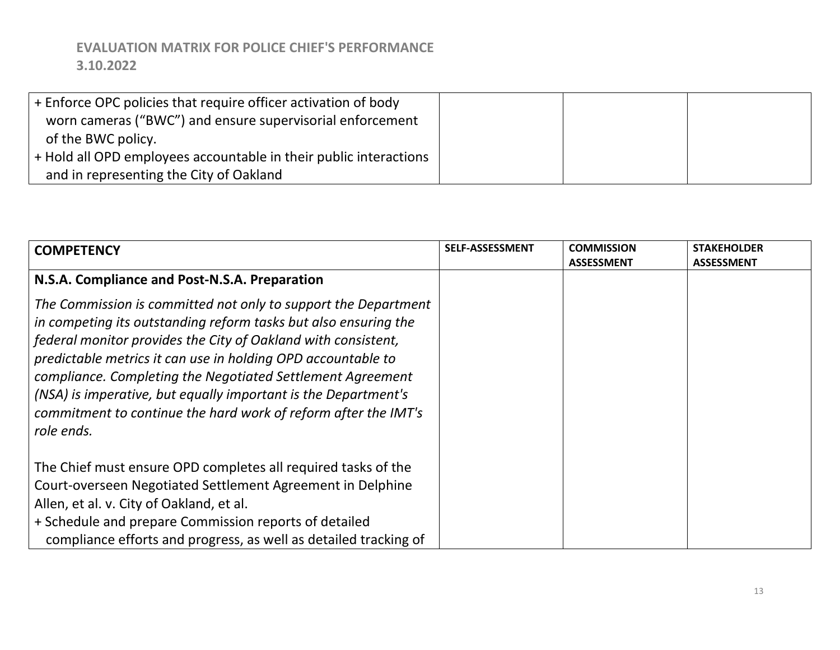| + Enforce OPC policies that require officer activation of body    |  |  |
|-------------------------------------------------------------------|--|--|
| worn cameras ("BWC") and ensure supervisorial enforcement         |  |  |
| of the BWC policy.                                                |  |  |
| + Hold all OPD employees accountable in their public interactions |  |  |
| and in representing the City of Oakland                           |  |  |

| <b>COMPETENCY</b>                                                | SELF-ASSESSMENT | <b>COMMISSION</b> | <b>STAKEHOLDER</b> |
|------------------------------------------------------------------|-----------------|-------------------|--------------------|
|                                                                  |                 | <b>ASSESSMENT</b> | <b>ASSESSMENT</b>  |
| N.S.A. Compliance and Post-N.S.A. Preparation                    |                 |                   |                    |
| The Commission is committed not only to support the Department   |                 |                   |                    |
| in competing its outstanding reform tasks but also ensuring the  |                 |                   |                    |
| federal monitor provides the City of Oakland with consistent,    |                 |                   |                    |
| predictable metrics it can use in holding OPD accountable to     |                 |                   |                    |
| compliance. Completing the Negotiated Settlement Agreement       |                 |                   |                    |
| (NSA) is imperative, but equally important is the Department's   |                 |                   |                    |
| commitment to continue the hard work of reform after the IMT's   |                 |                   |                    |
| role ends.                                                       |                 |                   |                    |
|                                                                  |                 |                   |                    |
| The Chief must ensure OPD completes all required tasks of the    |                 |                   |                    |
| Court-overseen Negotiated Settlement Agreement in Delphine       |                 |                   |                    |
| Allen, et al. v. City of Oakland, et al.                         |                 |                   |                    |
| + Schedule and prepare Commission reports of detailed            |                 |                   |                    |
| compliance efforts and progress, as well as detailed tracking of |                 |                   |                    |